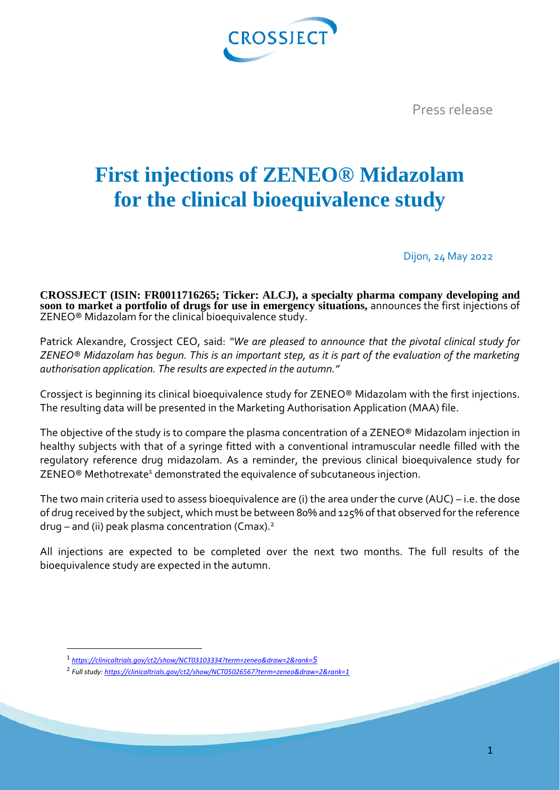

Press release

## **First injections of ZENEO® Midazolam for the clinical bioequivalence study**

Dijon, 24 May 2022

**CROSSJECT (ISIN: FR0011716265; Ticker: ALCJ), a specialty pharma company developing and soon to market a portfolio of drugs for use in emergency situations,** announces the first injections of ZENEO® Midazolam for the clinical bioequivalence study.

Patrick Alexandre, Crossject CEO, said: *"We are pleased to announce that the pivotal clinical study for ZENEO® Midazolam has begun. This is an important step, as it is part of the evaluation of the marketing authorisation application. The results are expected in the autumn."* 

Crossject is beginning its clinical bioequivalence study for ZENEO® Midazolam with the first injections. The resulting data will be presented in the Marketing Authorisation Application (MAA) file.

The objective of the study is to compare the plasma concentration of a ZENEO® Midazolam injection in healthy subjects with that of a syringe fitted with a conventional intramuscular needle filled with the regulatory reference drug midazolam. As a reminder, the previous clinical bioequivalence study for ZENEO<sup>®</sup> Methotrexate<sup>1</sup> demonstrated the equivalence of subcutaneous injection.

The two main criteria used to assess bioequivalence are (i) the area under the curve (AUC) – i.e. the dose of drug received by the subject, which must be between 80% and 125% of that observed for the reference  $druq - and (ii) peak plasma concentration (Cmax).<sup>2</sup>$ 

All injections are expected to be completed over the next two months. The full results of the bioequivalence study are expected in the autumn.

 $\overline{a}$ 

<sup>1</sup> *[https://clinicaltrials.gov/ct2/show/NCT03103334?term=zeneo&draw=2&rank=](https://clinicaltrials.gov/ct2/show/NCT03103334?term=zeneo&draw=2&rank=5)5*

<sup>2</sup> *Full study[: https://clinicaltrials.gov/ct2/show/NCT05026567?term=zeneo&draw=2&rank=1](https://clinicaltrials.gov/ct2/show/NCT05026567?term=zeneo&draw=2&rank=1)*